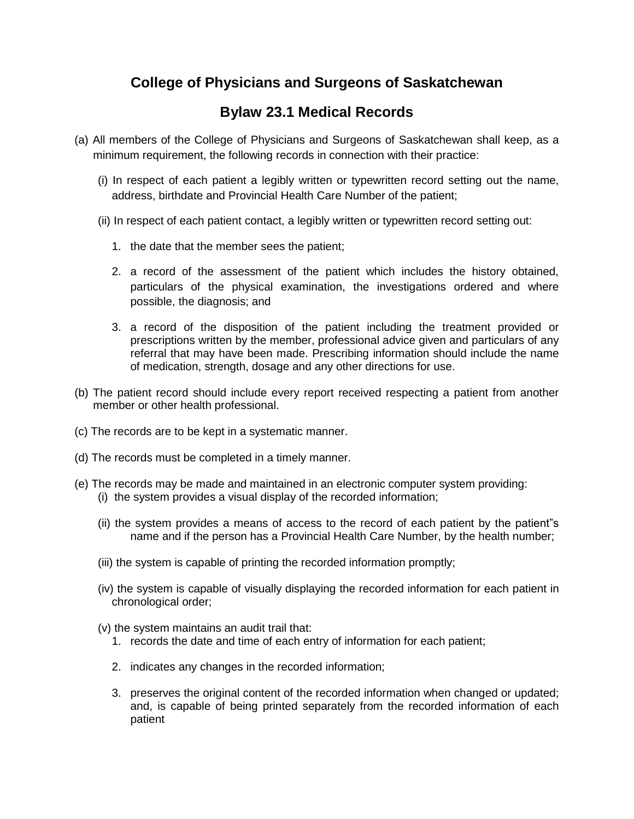### **College of Physicians and Surgeons of Saskatchewan**

#### **Bylaw 23.1 Medical Records**

- (a) All members of the College of Physicians and Surgeons of Saskatchewan shall keep, as a minimum requirement, the following records in connection with their practice:
	- (i) In respect of each patient a legibly written or typewritten record setting out the name, address, birthdate and Provincial Health Care Number of the patient;
	- (ii) In respect of each patient contact, a legibly written or typewritten record setting out:
		- 1. the date that the member sees the patient;
		- 2. a record of the assessment of the patient which includes the history obtained, particulars of the physical examination, the investigations ordered and where possible, the diagnosis; and
		- 3. a record of the disposition of the patient including the treatment provided or prescriptions written by the member, professional advice given and particulars of any referral that may have been made. Prescribing information should include the name of medication, strength, dosage and any other directions for use.
- (b) The patient record should include every report received respecting a patient from another member or other health professional.
- (c) The records are to be kept in a systematic manner.
- (d) The records must be completed in a timely manner.
- (e) The records may be made and maintained in an electronic computer system providing: (i) the system provides a visual display of the recorded information;
	- (ii) the system provides a means of access to the record of each patient by the patient"s name and if the person has a Provincial Health Care Number, by the health number;
	- (iii) the system is capable of printing the recorded information promptly;
	- (iv) the system is capable of visually displaying the recorded information for each patient in chronological order;
	- (v) the system maintains an audit trail that:
		- 1. records the date and time of each entry of information for each patient;
		- 2. indicates any changes in the recorded information;
		- 3. preserves the original content of the recorded information when changed or updated; and, is capable of being printed separately from the recorded information of each patient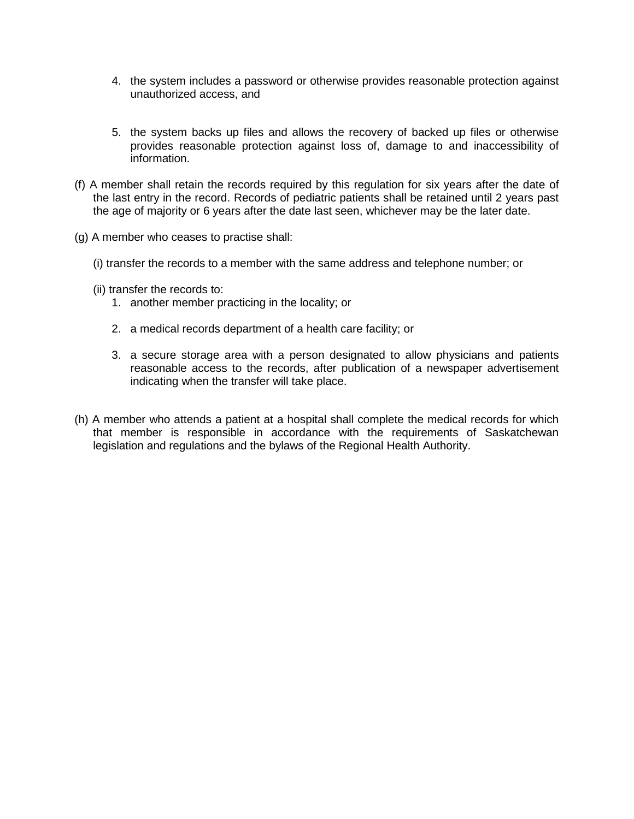- 4. the system includes a password or otherwise provides reasonable protection against unauthorized access, and
- 5. the system backs up files and allows the recovery of backed up files or otherwise provides reasonable protection against loss of, damage to and inaccessibility of information.
- (f) A member shall retain the records required by this regulation for six years after the date of the last entry in the record. Records of pediatric patients shall be retained until 2 years past the age of majority or 6 years after the date last seen, whichever may be the later date.
- (g) A member who ceases to practise shall:
	- (i) transfer the records to a member with the same address and telephone number; or
	- (ii) transfer the records to:
		- 1. another member practicing in the locality; or
		- 2. a medical records department of a health care facility; or
		- 3. a secure storage area with a person designated to allow physicians and patients reasonable access to the records, after publication of a newspaper advertisement indicating when the transfer will take place.
- (h) A member who attends a patient at a hospital shall complete the medical records for which that member is responsible in accordance with the requirements of Saskatchewan legislation and regulations and the bylaws of the Regional Health Authority.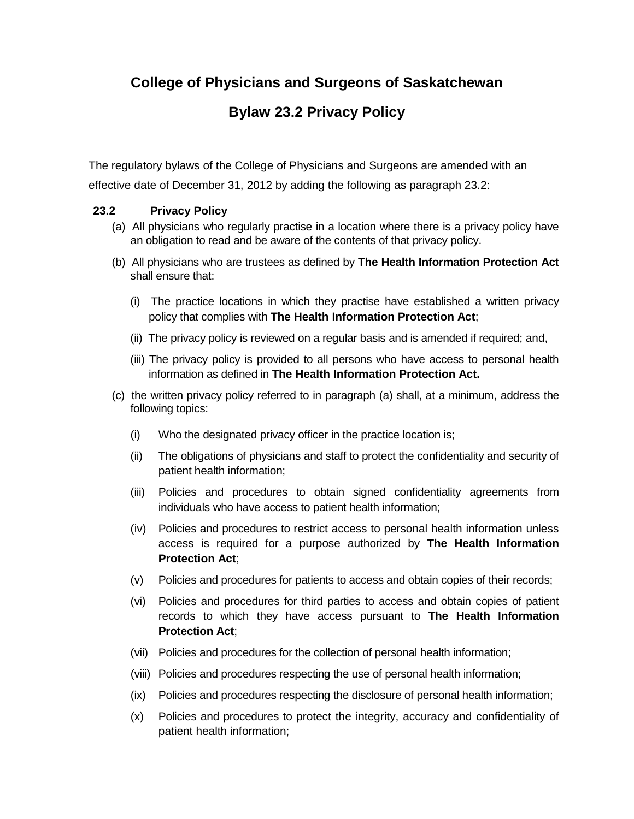## **College of Physicians and Surgeons of Saskatchewan**

# **Bylaw 23.2 Privacy Policy**

The regulatory bylaws of the College of Physicians and Surgeons are amended with an

effective date of December 31, 2012 by adding the following as paragraph 23.2:

#### **23.2 Privacy Policy**

- (a) All physicians who regularly practise in a location where there is a privacy policy have an obligation to read and be aware of the contents of that privacy policy.
- (b) All physicians who are trustees as defined by **The Health Information Protection Act** shall ensure that:
	- (i) The practice locations in which they practise have established a written privacy policy that complies with **The Health Information Protection Act**;
	- (ii) The privacy policy is reviewed on a regular basis and is amended if required; and,
	- (iii) The privacy policy is provided to all persons who have access to personal health information as defined in **The Health Information Protection Act.**
- (c) the written privacy policy referred to in paragraph (a) shall, at a minimum, address the following topics:
	- (i) Who the designated privacy officer in the practice location is;
	- (ii) The obligations of physicians and staff to protect the confidentiality and security of patient health information;
	- (iii) Policies and procedures to obtain signed confidentiality agreements from individuals who have access to patient health information;
	- (iv) Policies and procedures to restrict access to personal health information unless access is required for a purpose authorized by **The Health Information Protection Act**;
	- (v) Policies and procedures for patients to access and obtain copies of their records;
	- (vi) Policies and procedures for third parties to access and obtain copies of patient records to which they have access pursuant to **The Health Information Protection Act**;
	- (vii) Policies and procedures for the collection of personal health information;
	- (viii) Policies and procedures respecting the use of personal health information;
	- (ix) Policies and procedures respecting the disclosure of personal health information;
	- (x) Policies and procedures to protect the integrity, accuracy and confidentiality of patient health information;